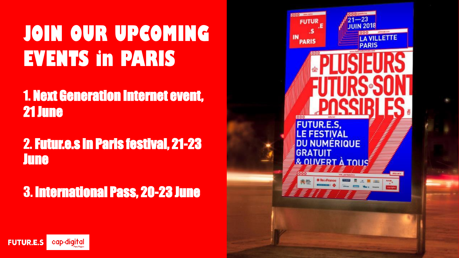# **JOIN OUR UPCOMING EVENTS in PARIS**

1. Next Generation Internet event, 21 June

# 2. Futur.e.s in Paris festival, 21-23 **June**

3. International Pass, 20-23 June



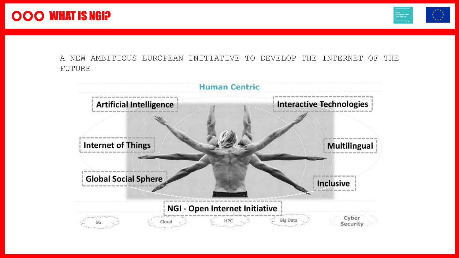

A NEW AMBITIOUS EUROPEAN INITIATIVE TO DEVELOP THE INTERNET OF THE FUTURE

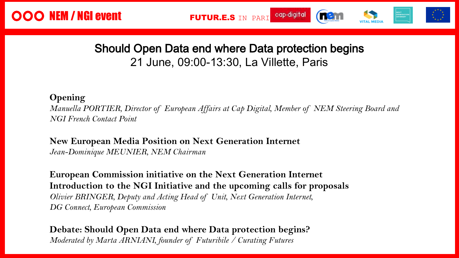

### Should Open Data end where Data protection begins 21 June, 09:00-13:30, La Villette, Paris

#### **Opening**

 $\lambda$ , Member of NEM  $\lambda$ Immersion of European Iffairs at Eup *Manuella PORTIER, Director of European Affairs at Cap Digital, Member of NEM Steering Board and NGI French Contact Point*

nternet uropean Media Position on Next Gener: Jean-Dominique MEUNIER, NEM Chairman **New European Media Position on Next Generation Internet**

**European Commission initiative on the Next Generation Internet Introduction to the NGI Initiative and the upcoming calls for proposals** *Olivier BRINGER, Deputy and Acting Head of Unit, Next Generation Internet, DG Connect, European Commission*

**Debate: Should Open Data end where Data protection begins?** *Moderated by Marta ARNIANI, founder of Futuribile / Curating Futures*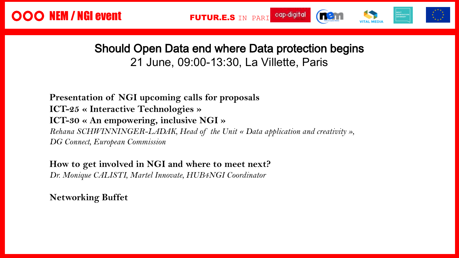### Should Open Data end where Data protection begins 21 June, 09:00-13:30, La Villette, Paris

the Unit « Data application and creativity  $\sim$  25  $\mu$  meraciive itemiologies  $\mu$ boling hunder Endin, head of the chee unrivalled innovators. **Presentation of NGI upcoming calls for proposals ICT-25 « Interactive Technologies » ICT-30 « An empowering, inclusive NGI »** *Rehana SCHWINNINGER-LADAK, Head of the Unit « Data application and creativity », DG Connect, European Commission*

**How to get involved in NGI and where to meet next?**

*Dr. Monique CALISTI, Martel Innovate, HUB4NGI Coordinator*

**Networking Buffet**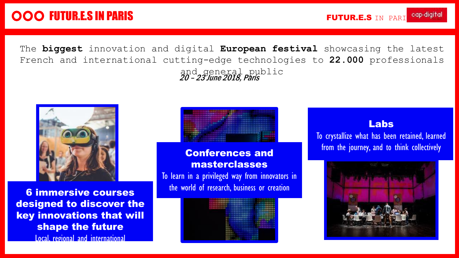# OOO FUTUR.E.S IN PARIS

The **biggest** innovation and digital **European festival** showcasing the latest French and international cutting-edge technologies to **22.000** professionals and general public 20 – 23 June 2018, Paris



6 immersive courses designed to discover the key innovations that will shape the future Local, regional and international



#### Conferences and masterclasses

To learn in a privileged way from innovators in the world of research, business or creation



#### Labs

**formation**<br>To crystallize<br>from the To crystallize what has been retained, learned from the journey, and to think collectively

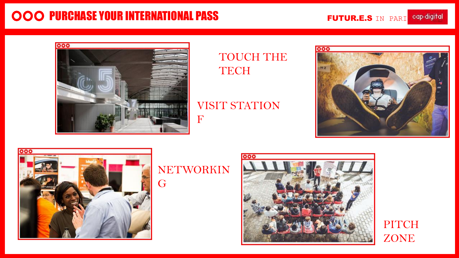# **OOO PURCHASE YOUR INTERNATIONAL PASS**

FUTUR.E.S IN PARI cap-digital



TOUCH THE **TECH** 

VISIT STATION





## NETWORKIN G

F



**PITCH** ZONE